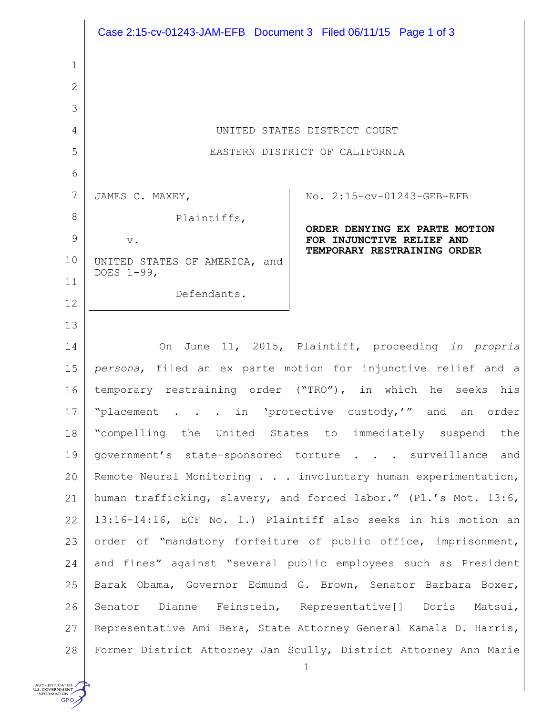|                | Case 2:15-cv-01243-JAM-EFB Document 3 Filed 06/11/15 Page 1 of 3  |                                                                  |
|----------------|-------------------------------------------------------------------|------------------------------------------------------------------|
| 1              |                                                                   |                                                                  |
| $\overline{2}$ |                                                                   |                                                                  |
| 3              |                                                                   |                                                                  |
| $\overline{4}$ | UNITED STATES DISTRICT COURT                                      |                                                                  |
| 5              | EASTERN DISTRICT OF CALIFORNIA                                    |                                                                  |
| 6              |                                                                   |                                                                  |
| 7              | JAMES C. MAXEY,                                                   | No. 2:15-cv-01243-GEB-EFB                                        |
| 8              | Plaintiffs,                                                       |                                                                  |
| 9              | $V$ .                                                             | ORDER DENYING EX PARTE MOTION<br>FOR INJUNCTIVE RELIEF AND       |
| 10             | UNITED STATES OF AMERICA, and                                     | TEMPORARY RESTRAINING ORDER                                      |
| 11             | DOES 1-99,                                                        |                                                                  |
| 12             | Defendants.                                                       |                                                                  |
| 13             |                                                                   |                                                                  |
| 14             | On June 11, 2015, Plaintiff, proceeding in propria                |                                                                  |
| 15             | persona, filed an ex parte motion for injunctive relief and a     |                                                                  |
| 16             | temporary restraining order ("TRO"), in which he<br>seeks his     |                                                                  |
| 17             | "placement in 'protective custody,'" and an order                 |                                                                  |
| 18             | "compelling the United States to immediately suspend the          |                                                                  |
| 19             | government's state-sponsored torture surveillance and             |                                                                  |
| 20             | Remote Neural Monitoring involuntary human experimentation,       |                                                                  |
| 21             | human trafficking, slavery, and forced labor." (Pl.'s Mot. 13:6,  |                                                                  |
| 22             | 13:16-14:16, ECF No. 1.) Plaintiff also seeks in his motion an    |                                                                  |
| 23             | order of "mandatory forfeiture of public office, imprisonment,    |                                                                  |
| 24             | and fines" against "several public employees such as President    |                                                                  |
| 25             | Barak Obama, Governor Edmund G. Brown, Senator Barbara Boxer,     |                                                                  |
| 26             | Senator Dianne Feinstein, Representative[] Doris Matsui,          |                                                                  |
| 27             | Representative Ami Bera, State Attorney General Kamala D. Harris, |                                                                  |
| 28             |                                                                   | Former District Attorney Jan Scully, District Attorney Ann Marie |

AUTHENTICATED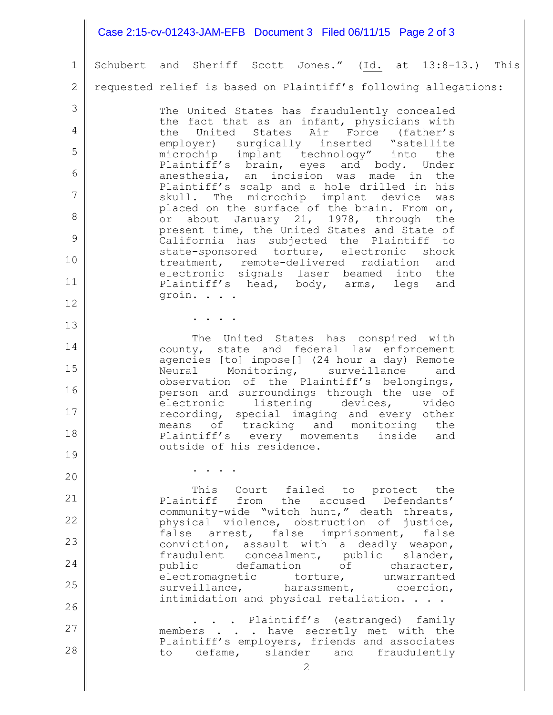## 1 2 3 4 5 6 7 8 9 10 11 12 13 14 15 16 17 18 19 20 21 22 23 24 25 26 27 28 2 Schubert and Sheriff Scott Jones." (Id. at 13:8-13.) This requested relief is based on Plaintiff's following allegations: The United States has fraudulently concealed the fact that as an infant, physicians with the United States Air Force (father's employer) surgically inserted "satellite microchip implant technology" into the Plaintiff's brain, eyes and body. Under anesthesia, an incision was made in the Plaintiff's scalp and a hole drilled in his skull. The microchip implant device was placed on the surface of the brain. From on, or about January 21, 1978, through the present time, the United States and State of California has subjected the Plaintiff to state-sponsored torture, electronic shock treatment, remote-delivered radiation and electronic signals laser beamed into the Plaintiff's head, body, arms, legs and groin. . . . . . . . The United States has conspired with county, state and federal law enforcement agencies [to] impose[] (24 hour a day) Remote Neural Monitoring, surveillance and observation of the Plaintiff's belongings, person and surroundings through the use of electronic listening devices, video recording, special imaging and every other means of tracking and monitoring the Plaintiff's every movements inside and outside of his residence. . . . . This Court failed to protect the Plaintiff from the accused Defendants' community-wide "witch hunt," death threats, physical violence, obstruction of justice, false arrest, false imprisonment, false conviction, assault with a deadly weapon, fraudulent concealment, public slander, public defamation of character, electromagnetic torture, unwarranted surveillance, harassment, coercion, intimidation and physical retaliation. . . . . . . Plaintiff's (estranged) family members . . . have secretly met with the Plaintiff's employers, friends and associates to defame, slander and fraudulently Case 2:15-cv-01243-JAM-EFB Document 3 Filed 06/11/15 Page 2 of 3